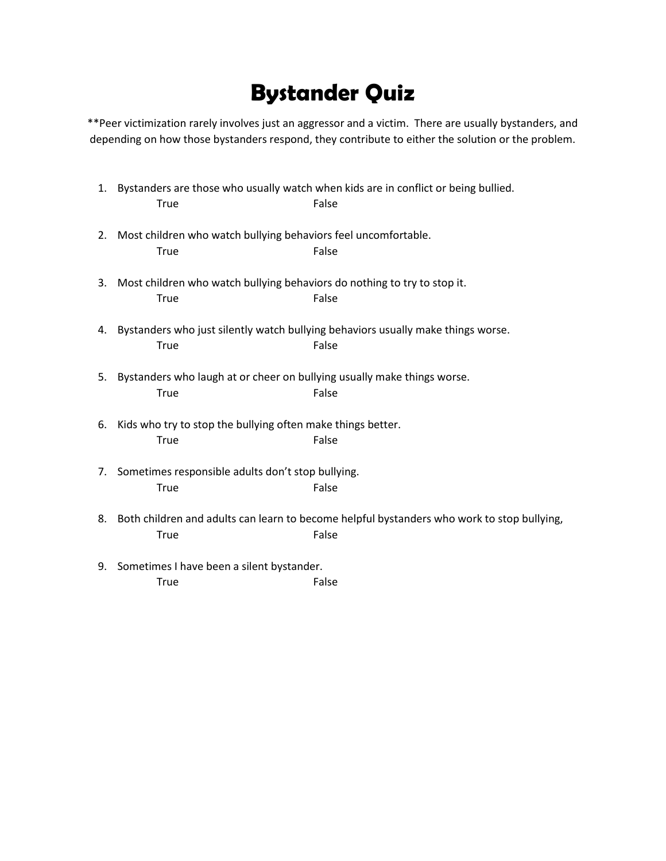## **Bystander Quiz**

\*\*Peer victimization rarely involves just an aggressor and a victim. There are usually bystanders, and depending on how those bystanders respond, they contribute to either the solution or the problem.

|    | <b>True</b>                                                                             | 1. Bystanders are those who usually watch when kids are in conflict or being bullied.<br>False         |
|----|-----------------------------------------------------------------------------------------|--------------------------------------------------------------------------------------------------------|
| 2. | Most children who watch bullying behaviors feel uncomfortable.<br><b>True</b>           | False                                                                                                  |
| 3. | Most children who watch bullying behaviors do nothing to try to stop it.<br><b>True</b> | False                                                                                                  |
|    | <b>True</b>                                                                             | 4. Bystanders who just silently watch bullying behaviors usually make things worse.<br>False           |
| 5. | Bystanders who laugh at or cheer on bullying usually make things worse.<br><b>True</b>  | False                                                                                                  |
| 6. | Kids who try to stop the bullying often make things better.<br>True                     | False                                                                                                  |
|    | 7. Sometimes responsible adults don't stop bullying.<br>True                            | False                                                                                                  |
|    | <b>True</b>                                                                             | 8. Both children and adults can learn to become helpful bystanders who work to stop bullying,<br>False |
| 9. | Sometimes I have been a silent bystander.                                               |                                                                                                        |
|    | <b>True</b>                                                                             | False                                                                                                  |